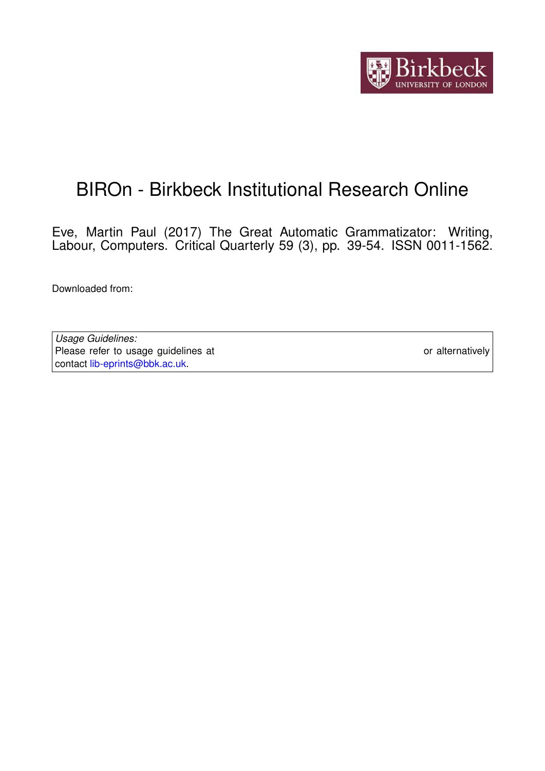

# BIROn - Birkbeck Institutional Research Online

Eve, Martin Paul (2017) The Great Automatic Grammatizator: Writing, Labour, Computers. Critical Quarterly 59 (3), pp. 39-54. ISSN 0011-1562.

Downloaded from: <https://eprints.bbk.ac.uk/id/eprint/18690/>

*Usage Guidelines:* Please refer to usage guidelines at <https://eprints.bbk.ac.uk/policies.html> or alternatively contact [lib-eprints@bbk.ac.uk.](mailto:lib-eprints@bbk.ac.uk)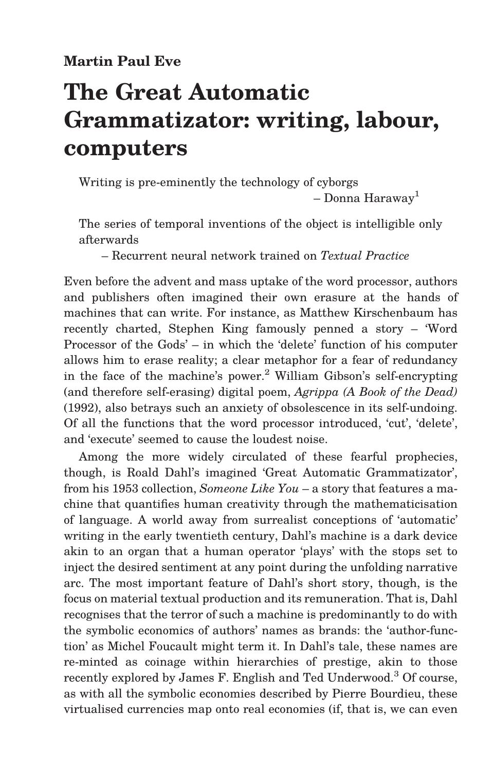### Martin Paul Eve

## The Great Automatic Grammatizator: writing, labour, computers

Writing is pre-eminently the technology of cyborgs

 $-$  Donna Haraway<sup>1</sup>

The series of temporal inventions of the object is intelligible only afterwards

– Recurrent neural network trained on Textual Practice

Even before the advent and mass uptake of the word processor, authors and publishers often imagined their own erasure at the hands of machines that can write. For instance, as Matthew Kirschenbaum has recently charted, Stephen King famously penned a story – 'Word Processor of the Gods' – in which the 'delete' function of his computer allows him to erase reality; a clear metaphor for a fear of redundancy in the face of the machine's power.<sup>2</sup> William Gibson's self-encrypting (and therefore self-erasing) digital poem, Agrippa (A Book of the Dead) (1992), also betrays such an anxiety of obsolescence in its self-undoing. Of all the functions that the word processor introduced, 'cut', 'delete', and 'execute' seemed to cause the loudest noise.

Among the more widely circulated of these fearful prophecies, though, is Roald Dahl's imagined 'Great Automatic Grammatizator', from his 1953 collection, Someone Like You – a story that features a machine that quantifies human creativity through the mathematicisation of language. A world away from surrealist conceptions of 'automatic' writing in the early twentieth century, Dahl's machine is a dark device akin to an organ that a human operator 'plays' with the stops set to inject the desired sentiment at any point during the unfolding narrative arc. The most important feature of Dahl's short story, though, is the focus on material textual production and its remuneration. That is, Dahl recognises that the terror of such a machine is predominantly to do with the symbolic economics of authors' names as brands: the 'author-function' as Michel Foucault might term it. In Dahl's tale, these names are re-minted as coinage within hierarchies of prestige, akin to those recently explored by James F. English and Ted Underwood.<sup>3</sup> Of course, as with all the symbolic economies described by Pierre Bourdieu, these virtualised currencies map onto real economies (if, that is, we can even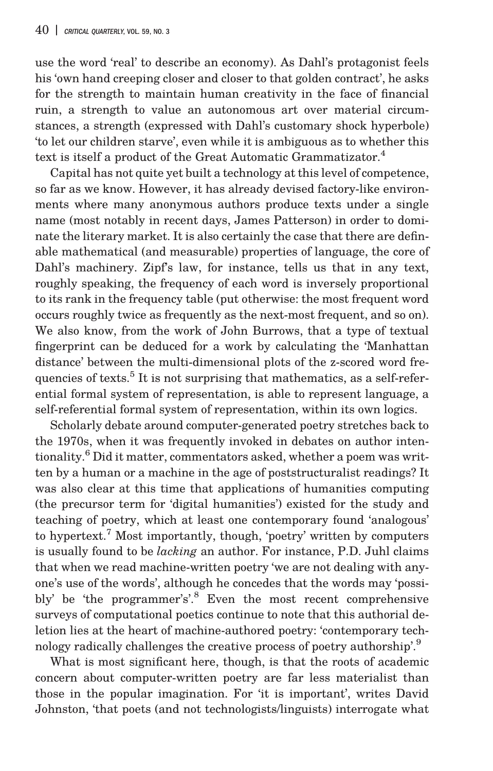use the word 'real' to describe an economy). As Dahl's protagonist feels his 'own hand creeping closer and closer to that golden contract', he asks for the strength to maintain human creativity in the face of financial ruin, a strength to value an autonomous art over material circumstances, a strength (expressed with Dahl's customary shock hyperbole) 'to let our children starve', even while it is ambiguous as to whether this text is itself a product of the Great Automatic Grammatizator.<sup>4</sup>

Capital has not quite yet built a technology at this level of competence, so far as we know. However, it has already devised factory-like environments where many anonymous authors produce texts under a single name (most notably in recent days, James Patterson) in order to dominate the literary market. It is also certainly the case that there are definable mathematical (and measurable) properties of language, the core of Dahl's machinery. Zipf's law, for instance, tells us that in any text, roughly speaking, the frequency of each word is inversely proportional to its rank in the frequency table (put otherwise: the most frequent word occurs roughly twice as frequently as the next-most frequent, and so on). We also know, from the work of John Burrows, that a type of textual fingerprint can be deduced for a work by calculating the 'Manhattan distance' between the multi-dimensional plots of the z-scored word frequencies of texts.<sup>5</sup> It is not surprising that mathematics, as a self-referential formal system of representation, is able to represent language, a self-referential formal system of representation, within its own logics.

Scholarly debate around computer-generated poetry stretches back to the 1970s, when it was frequently invoked in debates on author intentionality.<sup>6</sup> Did it matter, commentators asked, whether a poem was written by a human or a machine in the age of poststructuralist readings? It was also clear at this time that applications of humanities computing (the precursor term for 'digital humanities') existed for the study and teaching of poetry, which at least one contemporary found 'analogous' to hypertext.<sup>7</sup> Most importantly, though, 'poetry' written by computers is usually found to be lacking an author. For instance, P.D. Juhl claims that when we read machine-written poetry 'we are not dealing with anyone's use of the words', although he concedes that the words may 'possibly' be 'the programmer's'. <sup>8</sup> Even the most recent comprehensive surveys of computational poetics continue to note that this authorial deletion lies at the heart of machine-authored poetry: 'contemporary technology radically challenges the creative process of poetry authorship'.<sup>9</sup>

What is most significant here, though, is that the roots of academic concern about computer-written poetry are far less materialist than those in the popular imagination. For 'it is important', writes David Johnston, 'that poets (and not technologists/linguists) interrogate what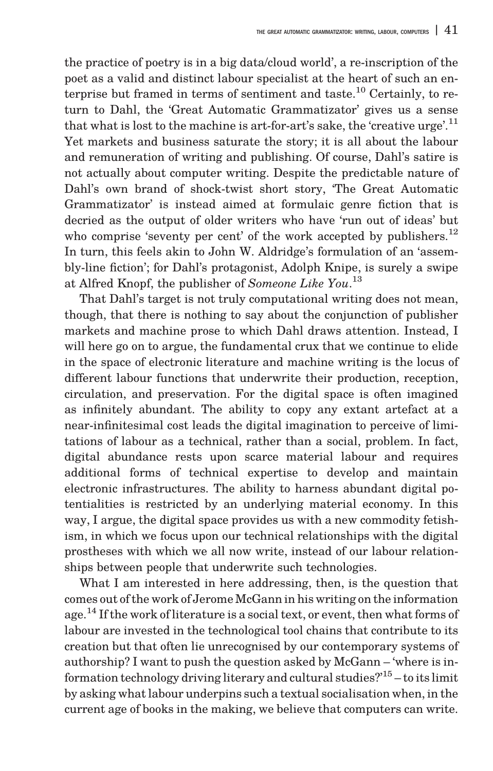the practice of poetry is in a big data/cloud world', a re-inscription of the poet as a valid and distinct labour specialist at the heart of such an enterprise but framed in terms of sentiment and taste.<sup>10</sup> Certainly, to return to Dahl, the 'Great Automatic Grammatizator' gives us a sense that what is lost to the machine is art-for-art's sake, the 'creative urge'.<sup>11</sup> Yet markets and business saturate the story; it is all about the labour and remuneration of writing and publishing. Of course, Dahl's satire is not actually about computer writing. Despite the predictable nature of Dahl's own brand of shock-twist short story, 'The Great Automatic Grammatizator' is instead aimed at formulaic genre fiction that is decried as the output of older writers who have 'run out of ideas' but who comprise 'seventy per cent' of the work accepted by publishers.<sup>12</sup> In turn, this feels akin to John W. Aldridge's formulation of an 'assembly-line fiction'; for Dahl's protagonist, Adolph Knipe, is surely a swipe at Alfred Knopf, the publisher of Someone Like You.<sup>13</sup>

That Dahl's target is not truly computational writing does not mean, though, that there is nothing to say about the conjunction of publisher markets and machine prose to which Dahl draws attention. Instead, I will here go on to argue, the fundamental crux that we continue to elide in the space of electronic literature and machine writing is the locus of different labour functions that underwrite their production, reception, circulation, and preservation. For the digital space is often imagined as infinitely abundant. The ability to copy any extant artefact at a near-infinitesimal cost leads the digital imagination to perceive of limitations of labour as a technical, rather than a social, problem. In fact, digital abundance rests upon scarce material labour and requires additional forms of technical expertise to develop and maintain electronic infrastructures. The ability to harness abundant digital potentialities is restricted by an underlying material economy. In this way, I argue, the digital space provides us with a new commodity fetishism, in which we focus upon our technical relationships with the digital prostheses with which we all now write, instead of our labour relationships between people that underwrite such technologies.

What I am interested in here addressing, then, is the question that comes out of the work of Jerome McGann in his writing on the information age.<sup>14</sup> If the work of literature is a social text, or event, then what forms of labour are invested in the technological tool chains that contribute to its creation but that often lie unrecognised by our contemporary systems of authorship? I want to push the question asked by McGann – 'where is information technology driving literary and cultural studies?' $^{15}$  – to its limit by asking what labour underpins such a textual socialisation when, in the current age of books in the making, we believe that computers can write.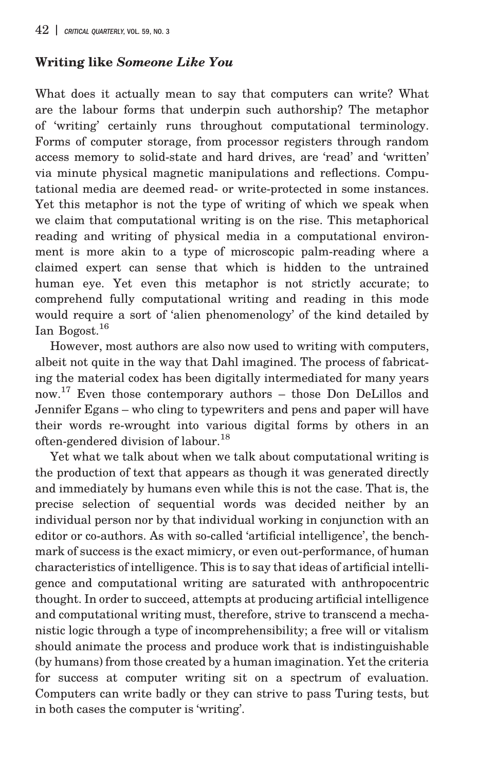#### Writing like Someone Like You

What does it actually mean to say that computers can write? What are the labour forms that underpin such authorship? The metaphor of 'writing' certainly runs throughout computational terminology. Forms of computer storage, from processor registers through random access memory to solid-state and hard drives, are 'read' and 'written' via minute physical magnetic manipulations and reflections. Computational media are deemed read- or write-protected in some instances. Yet this metaphor is not the type of writing of which we speak when we claim that computational writing is on the rise. This metaphorical reading and writing of physical media in a computational environment is more akin to a type of microscopic palm-reading where a claimed expert can sense that which is hidden to the untrained human eye. Yet even this metaphor is not strictly accurate; to comprehend fully computational writing and reading in this mode would require a sort of 'alien phenomenology' of the kind detailed by Ian Bogost.<sup>16</sup>

However, most authors are also now used to writing with computers, albeit not quite in the way that Dahl imagined. The process of fabricating the material codex has been digitally intermediated for many years now.<sup>17</sup> Even those contemporary authors – those Don DeLillos and Jennifer Egans – who cling to typewriters and pens and paper will have their words re-wrought into various digital forms by others in an often-gendered division of labour.<sup>18</sup>

Yet what we talk about when we talk about computational writing is the production of text that appears as though it was generated directly and immediately by humans even while this is not the case. That is, the precise selection of sequential words was decided neither by an individual person nor by that individual working in conjunction with an editor or co-authors. As with so-called 'artificial intelligence', the benchmark of success is the exact mimicry, or even out-performance, of human characteristics of intelligence. This is to say that ideas of artificial intelligence and computational writing are saturated with anthropocentric thought. In order to succeed, attempts at producing artificial intelligence and computational writing must, therefore, strive to transcend a mechanistic logic through a type of incomprehensibility; a free will or vitalism should animate the process and produce work that is indistinguishable (by humans) from those created by a human imagination. Yet the criteria for success at computer writing sit on a spectrum of evaluation. Computers can write badly or they can strive to pass Turing tests, but in both cases the computer is 'writing'.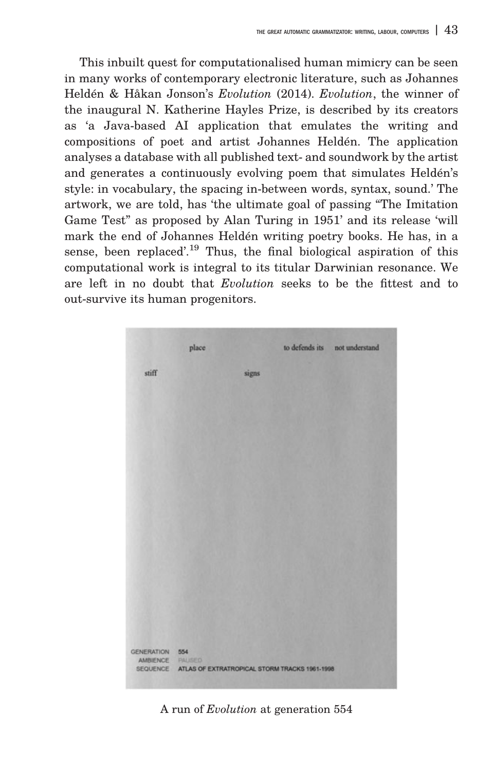This inbuilt quest for computationalised human mimicry can be seen in many works of contemporary electronic literature, such as Johannes Heldén & Håkan Jonson's Evolution (2014). Evolution, the winner of the inaugural N. Katherine Hayles Prize, is described by its creators as 'a Java-based AI application that emulates the writing and compositions of poet and artist Johannes Heldén. The application analyses a database with all published text- and soundwork by the artist and generates a continuously evolving poem that simulates Heldén's style: in vocabulary, the spacing in-between words, syntax, sound.' The artwork, we are told, has 'the ultimate goal of passing "The Imitation Game Test" as proposed by Alan Turing in 1951' and its release 'will mark the end of Johannes Heldén writing poetry books. He has, in a sense, been replaced'.<sup>19</sup> Thus, the final biological aspiration of this computational work is integral to its titular Darwinian resonance. We are left in no doubt that Evolution seeks to be the fittest and to out-survive its human progenitors.



A run of Evolution at generation 554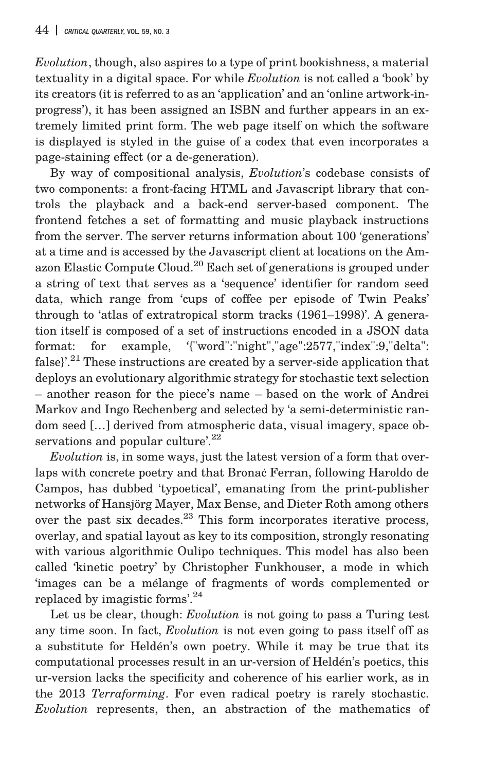Evolution, though, also aspires to a type of print bookishness, a material textuality in a digital space. For while Evolution is not called a 'book' by its creators (it is referred to as an 'application' and an 'online artwork-inprogress'), it has been assigned an ISBN and further appears in an extremely limited print form. The web page itself on which the software is displayed is styled in the guise of a codex that even incorporates a page-staining effect (or a de-generation).

By way of compositional analysis, Evolution's codebase consists of two components: a front-facing HTML and Javascript library that controls the playback and a back-end server-based component. The frontend fetches a set of formatting and music playback instructions from the server. The server returns information about 100 'generations' at a time and is accessed by the Javascript client at locations on the Amazon Elastic Compute Cloud.20 Each set of generations is grouped under a string of text that serves as a 'sequence' identifier for random seed data, which range from 'cups of coffee per episode of Twin Peaks' through to 'atlas of extratropical storm tracks (1961–1998)'. A generation itself is composed of a set of instructions encoded in a JSON data format: for example, '{"word":"night","age":2577,"index":9,"delta": false}'.<sup>21</sup> These instructions are created by a server-side application that deploys an evolutionary algorithmic strategy for stochastic text selection – another reason for the piece's name – based on the work of Andrei Markov and Ingo Rechenberg and selected by 'a semi-deterministic random seed […] derived from atmospheric data, visual imagery, space observations and popular culture'. $^{22}$ 

Evolution is, in some ways, just the latest version of a form that overlaps with concrete poetry and that Bronaċ Ferran, following Haroldo de Campos, has dubbed 'typoetical', emanating from the print-publisher networks of Hansjörg Mayer, Max Bense, and Dieter Roth among others over the past six decades.<sup>23</sup> This form incorporates iterative process, overlay, and spatial layout as key to its composition, strongly resonating with various algorithmic Oulipo techniques. This model has also been called 'kinetic poetry' by Christopher Funkhouser, a mode in which 'images can be a mélange of fragments of words complemented or replaced by imagistic forms'. 24

Let us be clear, though: Evolution is not going to pass a Turing test any time soon. In fact, Evolution is not even going to pass itself off as a substitute for Heldén's own poetry. While it may be true that its computational processes result in an ur-version of Heldén's poetics, this ur-version lacks the specificity and coherence of his earlier work, as in the 2013 Terraforming. For even radical poetry is rarely stochastic. Evolution represents, then, an abstraction of the mathematics of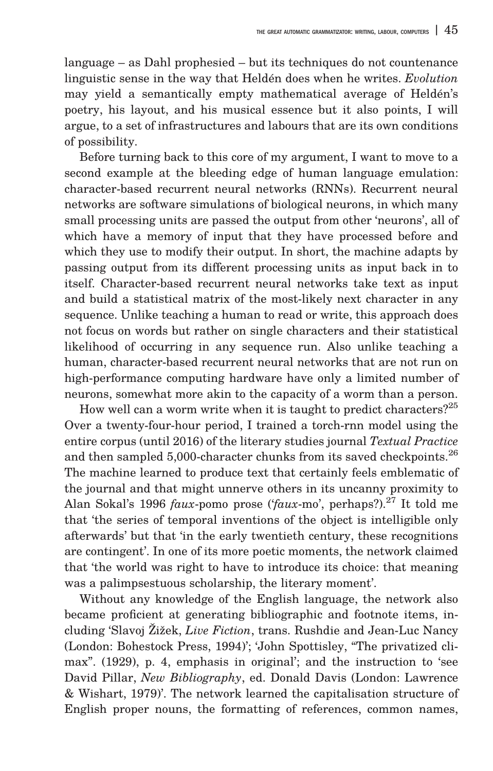language – as Dahl prophesied – but its techniques do not countenance linguistic sense in the way that Heldén does when he writes. Evolution may yield a semantically empty mathematical average of Heldén's poetry, his layout, and his musical essence but it also points, I will argue, to a set of infrastructures and labours that are its own conditions of possibility.

Before turning back to this core of my argument, I want to move to a second example at the bleeding edge of human language emulation: character-based recurrent neural networks (RNNs). Recurrent neural networks are software simulations of biological neurons, in which many small processing units are passed the output from other 'neurons', all of which have a memory of input that they have processed before and which they use to modify their output. In short, the machine adapts by passing output from its different processing units as input back in to itself. Character-based recurrent neural networks take text as input and build a statistical matrix of the most-likely next character in any sequence. Unlike teaching a human to read or write, this approach does not focus on words but rather on single characters and their statistical likelihood of occurring in any sequence run. Also unlike teaching a human, character-based recurrent neural networks that are not run on high-performance computing hardware have only a limited number of neurons, somewhat more akin to the capacity of a worm than a person.

How well can a worm write when it is taught to predict characters?  $2^{25}$ Over a twenty-four-hour period, I trained a torch-rnn model using the entire corpus (until 2016) of the literary studies journal Textual Practice and then sampled 5,000-character chunks from its saved checkpoints.<sup>26</sup> The machine learned to produce text that certainly feels emblematic of the journal and that might unnerve others in its uncanny proximity to Alan Sokal's 1996 *faux*-pomo prose (' $faux\text{-}mo$ ', perhaps?).<sup>27</sup> It told me that 'the series of temporal inventions of the object is intelligible only afterwards' but that 'in the early twentieth century, these recognitions are contingent'. In one of its more poetic moments, the network claimed that 'the world was right to have to introduce its choice: that meaning was a palimpsestuous scholarship, the literary moment'.

Without any knowledge of the English language, the network also became proficient at generating bibliographic and footnote items, including 'Slavoj Žižek, Live Fiction, trans. Rushdie and Jean-Luc Nancy (London: Bohestock Press, 1994)'; 'John Spottisley, "The privatized climax". (1929), p. 4, emphasis in original'; and the instruction to 'see David Pillar, New Bibliography, ed. Donald Davis (London: Lawrence & Wishart, 1979)'. The network learned the capitalisation structure of English proper nouns, the formatting of references, common names,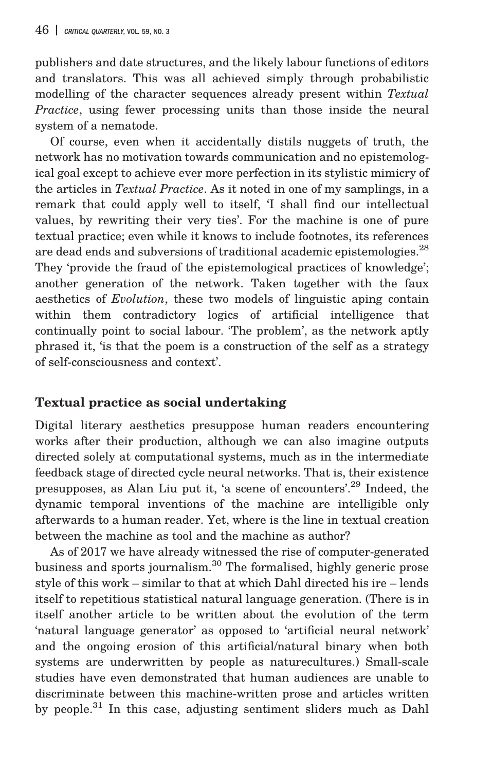publishers and date structures, and the likely labour functions of editors and translators. This was all achieved simply through probabilistic modelling of the character sequences already present within Textual Practice, using fewer processing units than those inside the neural system of a nematode.

Of course, even when it accidentally distils nuggets of truth, the network has no motivation towards communication and no epistemological goal except to achieve ever more perfection in its stylistic mimicry of the articles in Textual Practice. As it noted in one of my samplings, in a remark that could apply well to itself, 'I shall find our intellectual values, by rewriting their very ties'. For the machine is one of pure textual practice; even while it knows to include footnotes, its references are dead ends and subversions of traditional academic epistemologies.<sup>28</sup> They 'provide the fraud of the epistemological practices of knowledge'; another generation of the network. Taken together with the faux aesthetics of Evolution, these two models of linguistic aping contain within them contradictory logics of artificial intelligence that continually point to social labour. 'The problem', as the network aptly phrased it, 'is that the poem is a construction of the self as a strategy of self-consciousness and context'.

### Textual practice as social undertaking

Digital literary aesthetics presuppose human readers encountering works after their production, although we can also imagine outputs directed solely at computational systems, much as in the intermediate feedback stage of directed cycle neural networks. That is, their existence presupposes, as Alan Liu put it, 'a scene of encounters'.<sup>29</sup> Indeed, the dynamic temporal inventions of the machine are intelligible only afterwards to a human reader. Yet, where is the line in textual creation between the machine as tool and the machine as author?

As of 2017 we have already witnessed the rise of computer-generated business and sports journalism.<sup>30</sup> The formalised, highly generic prose style of this work – similar to that at which Dahl directed his ire – lends itself to repetitious statistical natural language generation. (There is in itself another article to be written about the evolution of the term 'natural language generator' as opposed to 'artificial neural network' and the ongoing erosion of this artificial/natural binary when both systems are underwritten by people as naturecultures.) Small-scale studies have even demonstrated that human audiences are unable to discriminate between this machine-written prose and articles written by people.31 In this case, adjusting sentiment sliders much as Dahl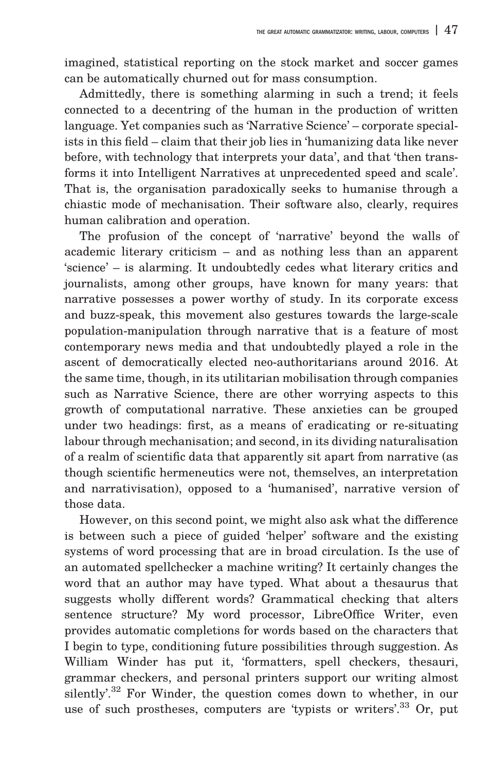imagined, statistical reporting on the stock market and soccer games can be automatically churned out for mass consumption.

Admittedly, there is something alarming in such a trend; it feels connected to a decentring of the human in the production of written language. Yet companies such as 'Narrative Science' – corporate specialists in this field – claim that their job lies in 'humanizing data like never before, with technology that interprets your data', and that 'then transforms it into Intelligent Narratives at unprecedented speed and scale'. That is, the organisation paradoxically seeks to humanise through a chiastic mode of mechanisation. Their software also, clearly, requires human calibration and operation.

The profusion of the concept of 'narrative' beyond the walls of academic literary criticism – and as nothing less than an apparent 'science' – is alarming. It undoubtedly cedes what literary critics and journalists, among other groups, have known for many years: that narrative possesses a power worthy of study. In its corporate excess and buzz-speak, this movement also gestures towards the large-scale population-manipulation through narrative that is a feature of most contemporary news media and that undoubtedly played a role in the ascent of democratically elected neo-authoritarians around 2016. At the same time, though, in its utilitarian mobilisation through companies such as Narrative Science, there are other worrying aspects to this growth of computational narrative. These anxieties can be grouped under two headings: first, as a means of eradicating or re-situating labour through mechanisation; and second, in its dividing naturalisation of a realm of scientific data that apparently sit apart from narrative (as though scientific hermeneutics were not, themselves, an interpretation and narrativisation), opposed to a 'humanised', narrative version of those data.

However, on this second point, we might also ask what the difference is between such a piece of guided 'helper' software and the existing systems of word processing that are in broad circulation. Is the use of an automated spellchecker a machine writing? It certainly changes the word that an author may have typed. What about a thesaurus that suggests wholly different words? Grammatical checking that alters sentence structure? My word processor, LibreOffice Writer, even provides automatic completions for words based on the characters that I begin to type, conditioning future possibilities through suggestion. As William Winder has put it, 'formatters, spell checkers, thesauri, grammar checkers, and personal printers support our writing almost silently'.<sup>32</sup> For Winder, the question comes down to whether, in our use of such prostheses, computers are 'typists or writers'.<sup>33</sup> Or, put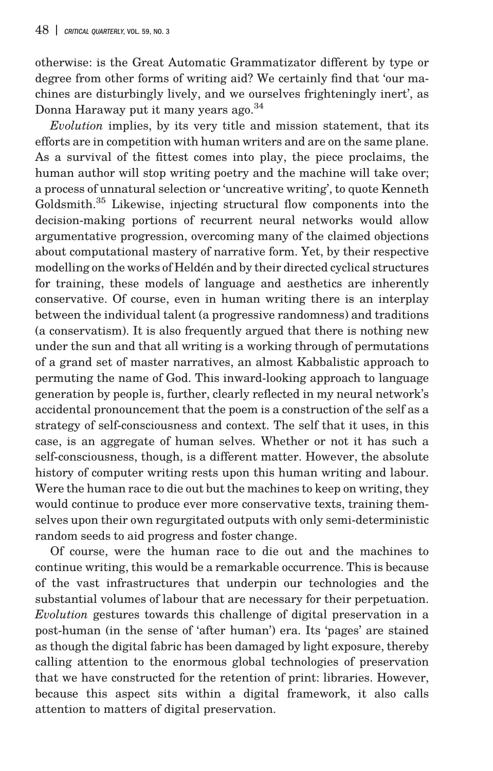otherwise: is the Great Automatic Grammatizator different by type or degree from other forms of writing aid? We certainly find that 'our machines are disturbingly lively, and we ourselves frighteningly inert', as Donna Haraway put it many years ago.<sup>34</sup>

Evolution implies, by its very title and mission statement, that its efforts are in competition with human writers and are on the same plane. As a survival of the fittest comes into play, the piece proclaims, the human author will stop writing poetry and the machine will take over; a process of unnatural selection or 'uncreative writing', to quote Kenneth Goldsmith.<sup>35</sup> Likewise, injecting structural flow components into the decision-making portions of recurrent neural networks would allow argumentative progression, overcoming many of the claimed objections about computational mastery of narrative form. Yet, by their respective modelling on the works of Heldén and by their directed cyclical structures for training, these models of language and aesthetics are inherently conservative. Of course, even in human writing there is an interplay between the individual talent (a progressive randomness) and traditions (a conservatism). It is also frequently argued that there is nothing new under the sun and that all writing is a working through of permutations of a grand set of master narratives, an almost Kabbalistic approach to permuting the name of God. This inward-looking approach to language generation by people is, further, clearly reflected in my neural network's accidental pronouncement that the poem is a construction of the self as a strategy of self-consciousness and context. The self that it uses, in this case, is an aggregate of human selves. Whether or not it has such a self-consciousness, though, is a different matter. However, the absolute history of computer writing rests upon this human writing and labour. Were the human race to die out but the machines to keep on writing, they would continue to produce ever more conservative texts, training themselves upon their own regurgitated outputs with only semi-deterministic random seeds to aid progress and foster change.

Of course, were the human race to die out and the machines to continue writing, this would be a remarkable occurrence. This is because of the vast infrastructures that underpin our technologies and the substantial volumes of labour that are necessary for their perpetuation. Evolution gestures towards this challenge of digital preservation in a post-human (in the sense of 'after human') era. Its 'pages' are stained as though the digital fabric has been damaged by light exposure, thereby calling attention to the enormous global technologies of preservation that we have constructed for the retention of print: libraries. However, because this aspect sits within a digital framework, it also calls attention to matters of digital preservation.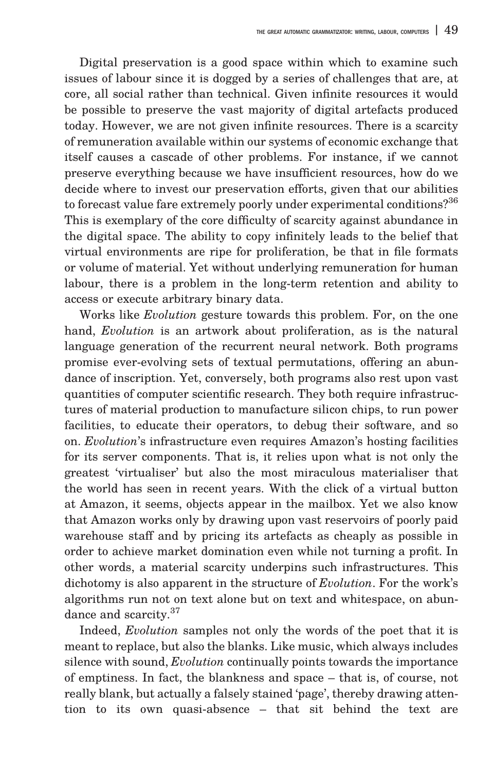Digital preservation is a good space within which to examine such issues of labour since it is dogged by a series of challenges that are, at core, all social rather than technical. Given infinite resources it would be possible to preserve the vast majority of digital artefacts produced today. However, we are not given infinite resources. There is a scarcity of remuneration available within our systems of economic exchange that itself causes a cascade of other problems. For instance, if we cannot preserve everything because we have insufficient resources, how do we decide where to invest our preservation efforts, given that our abilities to forecast value fare extremely poorly under experimental conditions?<sup>36</sup> This is exemplary of the core difficulty of scarcity against abundance in the digital space. The ability to copy infinitely leads to the belief that virtual environments are ripe for proliferation, be that in file formats or volume of material. Yet without underlying remuneration for human labour, there is a problem in the long-term retention and ability to access or execute arbitrary binary data.

Works like Evolution gesture towards this problem. For, on the one hand, Evolution is an artwork about proliferation, as is the natural language generation of the recurrent neural network. Both programs promise ever-evolving sets of textual permutations, offering an abundance of inscription. Yet, conversely, both programs also rest upon vast quantities of computer scientific research. They both require infrastructures of material production to manufacture silicon chips, to run power facilities, to educate their operators, to debug their software, and so on. Evolution's infrastructure even requires Amazon's hosting facilities for its server components. That is, it relies upon what is not only the greatest 'virtualiser' but also the most miraculous materialiser that the world has seen in recent years. With the click of a virtual button at Amazon, it seems, objects appear in the mailbox. Yet we also know that Amazon works only by drawing upon vast reservoirs of poorly paid warehouse staff and by pricing its artefacts as cheaply as possible in order to achieve market domination even while not turning a profit. In other words, a material scarcity underpins such infrastructures. This dichotomy is also apparent in the structure of Evolution. For the work's algorithms run not on text alone but on text and whitespace, on abundance and scarcity.<sup>37</sup>

Indeed, Evolution samples not only the words of the poet that it is meant to replace, but also the blanks. Like music, which always includes silence with sound, *Evolution* continually points towards the importance of emptiness. In fact, the blankness and space – that is, of course, not really blank, but actually a falsely stained 'page', thereby drawing attention to its own quasi-absence – that sit behind the text are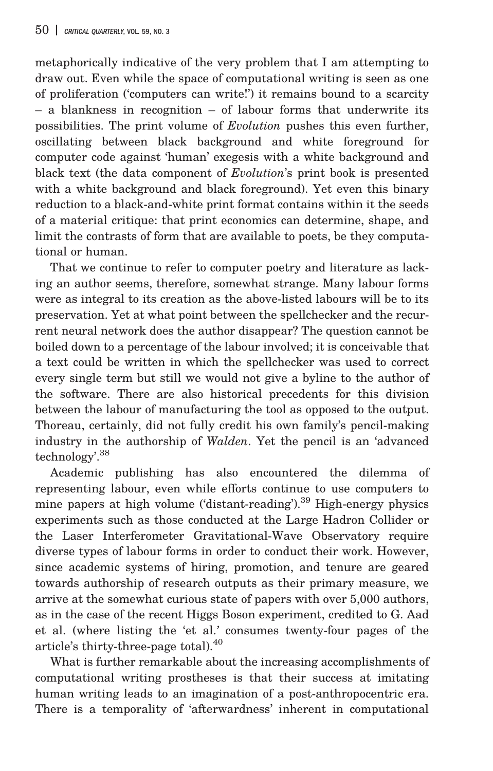metaphorically indicative of the very problem that I am attempting to draw out. Even while the space of computational writing is seen as one of proliferation ('computers can write!') it remains bound to a scarcity – a blankness in recognition – of labour forms that underwrite its possibilities. The print volume of Evolution pushes this even further, oscillating between black background and white foreground for computer code against 'human' exegesis with a white background and black text (the data component of Evolution's print book is presented with a white background and black foreground). Yet even this binary reduction to a black-and-white print format contains within it the seeds of a material critique: that print economics can determine, shape, and limit the contrasts of form that are available to poets, be they computational or human.

That we continue to refer to computer poetry and literature as lacking an author seems, therefore, somewhat strange. Many labour forms were as integral to its creation as the above-listed labours will be to its preservation. Yet at what point between the spellchecker and the recurrent neural network does the author disappear? The question cannot be boiled down to a percentage of the labour involved; it is conceivable that a text could be written in which the spellchecker was used to correct every single term but still we would not give a byline to the author of the software. There are also historical precedents for this division between the labour of manufacturing the tool as opposed to the output. Thoreau, certainly, did not fully credit his own family's pencil-making industry in the authorship of Walden. Yet the pencil is an 'advanced technology'. 38

Academic publishing has also encountered the dilemma of representing labour, even while efforts continue to use computers to mine papers at high volume ('distant-reading').<sup>39</sup> High-energy physics experiments such as those conducted at the Large Hadron Collider or the Laser Interferometer Gravitational-Wave Observatory require diverse types of labour forms in order to conduct their work. However, since academic systems of hiring, promotion, and tenure are geared towards authorship of research outputs as their primary measure, we arrive at the somewhat curious state of papers with over 5,000 authors, as in the case of the recent Higgs Boson experiment, credited to G. Aad et al. (where listing the 'et al.' consumes twenty-four pages of the article's thirty-three-page total).<sup>40</sup>

What is further remarkable about the increasing accomplishments of computational writing prostheses is that their success at imitating human writing leads to an imagination of a post-anthropocentric era. There is a temporality of 'afterwardness' inherent in computational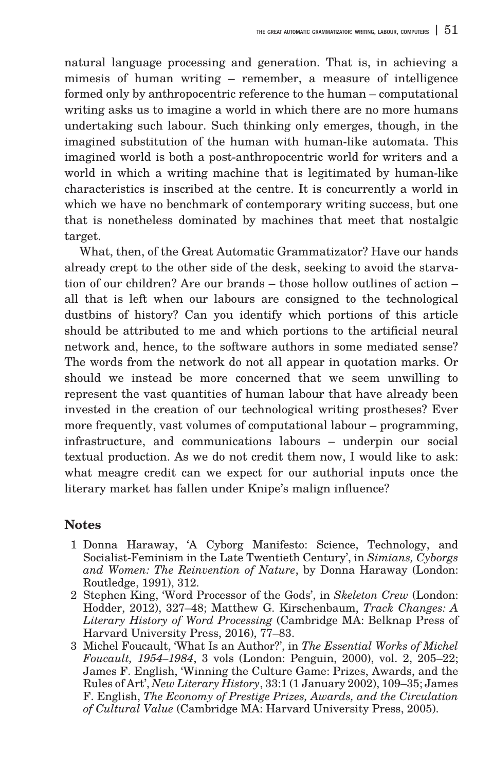natural language processing and generation. That is, in achieving a mimesis of human writing – remember, a measure of intelligence formed only by anthropocentric reference to the human – computational writing asks us to imagine a world in which there are no more humans undertaking such labour. Such thinking only emerges, though, in the imagined substitution of the human with human-like automata. This imagined world is both a post-anthropocentric world for writers and a world in which a writing machine that is legitimated by human-like characteristics is inscribed at the centre. It is concurrently a world in which we have no benchmark of contemporary writing success, but one that is nonetheless dominated by machines that meet that nostalgic target.

What, then, of the Great Automatic Grammatizator? Have our hands already crept to the other side of the desk, seeking to avoid the starvation of our children? Are our brands – those hollow outlines of action – all that is left when our labours are consigned to the technological dustbins of history? Can you identify which portions of this article should be attributed to me and which portions to the artificial neural network and, hence, to the software authors in some mediated sense? The words from the network do not all appear in quotation marks. Or should we instead be more concerned that we seem unwilling to represent the vast quantities of human labour that have already been invested in the creation of our technological writing prostheses? Ever more frequently, vast volumes of computational labour – programming, infrastructure, and communications labours – underpin our social textual production. As we do not credit them now, I would like to ask: what meagre credit can we expect for our authorial inputs once the literary market has fallen under Knipe's malign influence?

#### Notes

- 1 Donna Haraway, 'A Cyborg Manifesto: Science, Technology, and Socialist-Feminism in the Late Twentieth Century', in Simians, Cyborgs and Women: The Reinvention of Nature, by Donna Haraway (London: Routledge, 1991), 312.
- 2 Stephen King, 'Word Processor of the Gods', in Skeleton Crew (London: Hodder, 2012), 327–48; Matthew G. Kirschenbaum, Track Changes: A Literary History of Word Processing (Cambridge MA: Belknap Press of Harvard University Press, 2016), 77–83.
- 3 Michel Foucault, 'What Is an Author?', in The Essential Works of Michel Foucault, 1954–1984, 3 vols (London: Penguin, 2000), vol. 2, 205–22; James F. English, 'Winning the Culture Game: Prizes, Awards, and the Rules of Art', New Literary History, 33:1 (1 January 2002), 109–35; James F. English, The Economy of Prestige Prizes, Awards, and the Circulation of Cultural Value (Cambridge MA: Harvard University Press, 2005).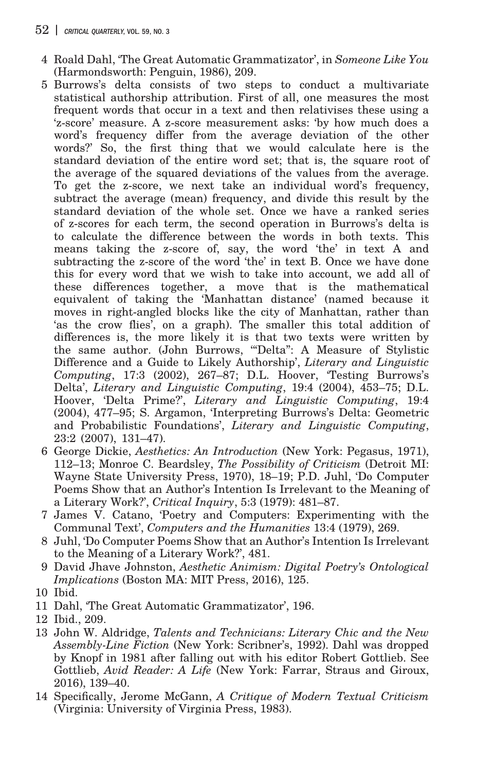- 4 Roald Dahl, 'The Great Automatic Grammatizator', in Someone Like You (Harmondsworth: Penguin, 1986), 209.
- 5 Burrows's delta consists of two steps to conduct a multivariate statistical authorship attribution. First of all, one measures the most frequent words that occur in a text and then relativises these using a 'z-score' measure. A z-score measurement asks: 'by how much does a word's frequency differ from the average deviation of the other words?' So, the first thing that we would calculate here is the standard deviation of the entire word set; that is, the square root of the average of the squared deviations of the values from the average. To get the z-score, we next take an individual word's frequency, subtract the average (mean) frequency, and divide this result by the standard deviation of the whole set. Once we have a ranked series of z-scores for each term, the second operation in Burrows's delta is to calculate the difference between the words in both texts. This means taking the z-score of, say, the word 'the' in text A and subtracting the z-score of the word 'the' in text B. Once we have done this for every word that we wish to take into account, we add all of these differences together, a move that is the mathematical equivalent of taking the 'Manhattan distance' (named because it moves in right-angled blocks like the city of Manhattan, rather than 'as the crow flies', on a graph). The smaller this total addition of differences is, the more likely it is that two texts were written by the same author. (John Burrows, '"Delta": A Measure of Stylistic Difference and a Guide to Likely Authorship', Literary and Linguistic Computing, 17:3 (2002), 267–87; D.L. Hoover, 'Testing Burrows's Delta', Literary and Linguistic Computing, 19:4 (2004), 453–75; D.L. Hoover, 'Delta Prime?', Literary and Linguistic Computing, 19:4 (2004), 477–95; S. Argamon, 'Interpreting Burrows's Delta: Geometric and Probabilistic Foundations', Literary and Linguistic Computing, 23:2 (2007), 131–47).
- 6 George Dickie, Aesthetics: An Introduction (New York: Pegasus, 1971), 112–13; Monroe C. Beardsley, The Possibility of Criticism (Detroit MI: Wayne State University Press, 1970), 18–19; P.D. Juhl, 'Do Computer Poems Show that an Author's Intention Is Irrelevant to the Meaning of a Literary Work?', Critical Inquiry, 5:3 (1979): 481–87.
- 7 James V. Catano, 'Poetry and Computers: Experimenting with the Communal Text', Computers and the Humanities 13:4 (1979), 269.
- 8 Juhl, 'Do Computer Poems Show that an Author's Intention Is Irrelevant to the Meaning of a Literary Work?', 481.
- 9 David Jhave Johnston, Aesthetic Animism: Digital Poetry's Ontological Implications (Boston MA: MIT Press, 2016), 125.
- 10 Ibid.
- 11 Dahl, 'The Great Automatic Grammatizator', 196.
- 12 Ibid., 209.
- 13 John W. Aldridge, Talents and Technicians: Literary Chic and the New Assembly-Line Fiction (New York: Scribner's, 1992). Dahl was dropped by Knopf in 1981 after falling out with his editor Robert Gottlieb. See Gottlieb, Avid Reader: A Life (New York: Farrar, Straus and Giroux, 2016), 139–40.
- 14 Specifically, Jerome McGann, A Critique of Modern Textual Criticism (Virginia: University of Virginia Press, 1983).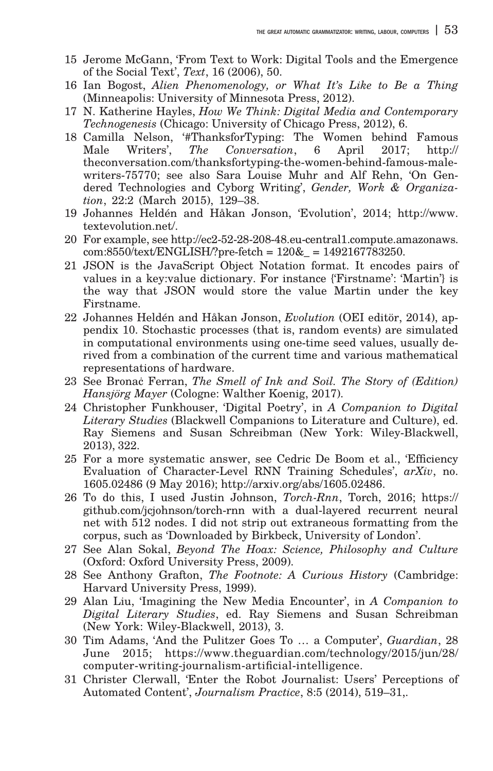- 15 Jerome McGann, 'From Text to Work: Digital Tools and the Emergence of the Social Text', Text, 16 (2006), 50.
- 16 Ian Bogost, Alien Phenomenology, or What It's Like to Be a Thing (Minneapolis: University of Minnesota Press, 2012).
- 17 N. Katherine Hayles, How We Think: Digital Media and Contemporary Technogenesis (Chicago: University of Chicago Press, 2012), 6.
- 18 Camilla Nelson, '#ThanksforTyping: The Women behind Famous Male Writers', The Conversation, 6 April 2017; [http://](http://theconversation.com/thanksfortyping-the-women-behind-famous-male-writers-75770) [theconversation.com/thanksfortyping-the-women-behind-famous-male](http://theconversation.com/thanksfortyping-the-women-behind-famous-male-writers-75770)[writers-75770](http://theconversation.com/thanksfortyping-the-women-behind-famous-male-writers-75770); see also Sara Louise Muhr and Alf Rehn, 'On Gendered Technologies and Cyborg Writing', Gender, Work & Organization, 22:2 (March 2015), 129–38.
- 19 Johannes Heldén and Håkan Jonson, 'Evolution', 2014; [http://www.](http://www.textevolution.net) [textevolution.net](http://www.textevolution.net)/.
- 20 For example, see [http://ec2-52-28-208-48.eu-central1.compute.amazonaws.](http://ec2-52-28-208-48.eu-central1.compute.amazonaws.com:8550/text/)  $com:8550/text/ENGLISH?$  $com:8550/text/ENGLISH?$ pre-fetch =  $120&$  = 1492167783250.
- 21 JSON is the JavaScript Object Notation format. It encodes pairs of values in a key:value dictionary. For instance {'Firstname': 'Martin'} is the way that JSON would store the value Martin under the key Firstname.
- 22 Johannes Heldén and Håkan Jonson, Evolution (OEI editör, 2014), appendix 10. Stochastic processes (that is, random events) are simulated in computational environments using one-time seed values, usually derived from a combination of the current time and various mathematical representations of hardware.
- 23 See Bronaċ Ferran, The Smell of Ink and Soil. The Story of (Edition) Hansjörg Mayer (Cologne: Walther Koenig, 2017).
- 24 Christopher Funkhouser, 'Digital Poetry', in A Companion to Digital Literary Studies (Blackwell Companions to Literature and Culture), ed. Ray Siemens and Susan Schreibman (New York: Wiley-Blackwell, 2013), 322.
- 25 For a more systematic answer, see Cedric De Boom et al., 'Efficiency Evaluation of Character-Level RNN Training Schedules', arXiv, no. 1605.02486 (9 May 2016); [http://arxiv.org/abs/1605.02486.](http://arxiv.org/abs/1605.02486)
- 26 To do this, I used Justin Johnson, Torch-Rnn, Torch, 2016; [https://](https://github.com/jcjohnson/torch-rnn) [github.com/jcjohnson/torch-rnn](https://github.com/jcjohnson/torch-rnn) with a dual-layered recurrent neural net with 512 nodes. I did not strip out extraneous formatting from the corpus, such as 'Downloaded by Birkbeck, University of London'.
- 27 See Alan Sokal, Beyond The Hoax: Science, Philosophy and Culture (Oxford: Oxford University Press, 2009).
- 28 See Anthony Grafton, The Footnote: A Curious History (Cambridge: Harvard University Press, 1999).
- 29 Alan Liu, 'Imagining the New Media Encounter', in A Companion to Digital Literary Studies, ed. Ray Siemens and Susan Schreibman (New York: Wiley-Blackwell, 2013), 3.
- 30 Tim Adams, 'And the Pulitzer Goes To … a Computer', Guardian, 28 June 2015; [https://www.theguardian.com/technology/2015/jun/28/](https://www.theguardian.com/technology/2015/jun/28/computer-writing-journalism-artificial-intelligence) [computer-writing-journalism-arti](https://www.theguardian.com/technology/2015/jun/28/computer-writing-journalism-artificial-intelligence)ficial-intelligence.
- 31 Christer Clerwall, 'Enter the Robot Journalist: Users' Perceptions of Automated Content', Journalism Practice, 8:5 (2014), 519–31,.